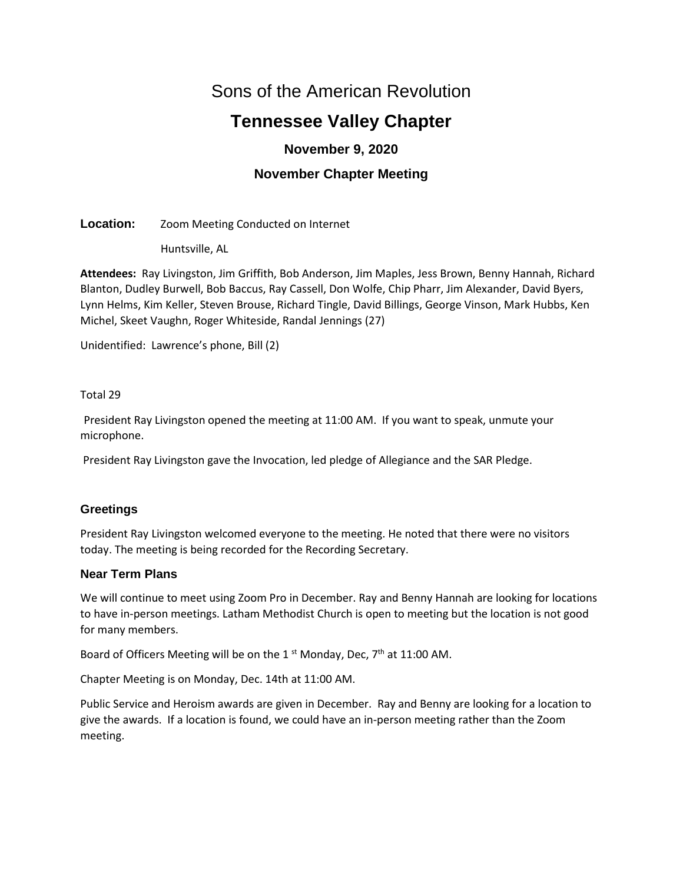# Sons of the American Revolution

# **Tennessee Valley Chapter**

# **November 9, 2020**

# **November Chapter Meeting**

# **Location:** Zoom Meeting Conducted on Internet

Huntsville, AL

**Attendees:** Ray Livingston, Jim Griffith, Bob Anderson, Jim Maples, Jess Brown, Benny Hannah, Richard Blanton, Dudley Burwell, Bob Baccus, Ray Cassell, Don Wolfe, Chip Pharr, Jim Alexander, David Byers, Lynn Helms, Kim Keller, Steven Brouse, Richard Tingle, David Billings, George Vinson, Mark Hubbs, Ken Michel, Skeet Vaughn, Roger Whiteside, Randal Jennings (27)

Unidentified: Lawrence's phone, Bill (2)

# Total 29

President Ray Livingston opened the meeting at 11:00 AM. If you want to speak, unmute your microphone.

President Ray Livingston gave the Invocation, led pledge of Allegiance and the SAR Pledge.

# **Greetings**

President Ray Livingston welcomed everyone to the meeting. He noted that there were no visitors today. The meeting is being recorded for the Recording Secretary.

# **Near Term Plans**

We will continue to meet using Zoom Pro in December. Ray and Benny Hannah are looking for locations to have in-person meetings. Latham Methodist Church is open to meeting but the location is not good for many members.

Board of Officers Meeting will be on the 1<sup>st</sup> Monday, Dec,  $7<sup>th</sup>$  at 11:00 AM.

Chapter Meeting is on Monday, Dec. 14th at 11:00 AM.

Public Service and Heroism awards are given in December. Ray and Benny are looking for a location to give the awards. If a location is found, we could have an in-person meeting rather than the Zoom meeting.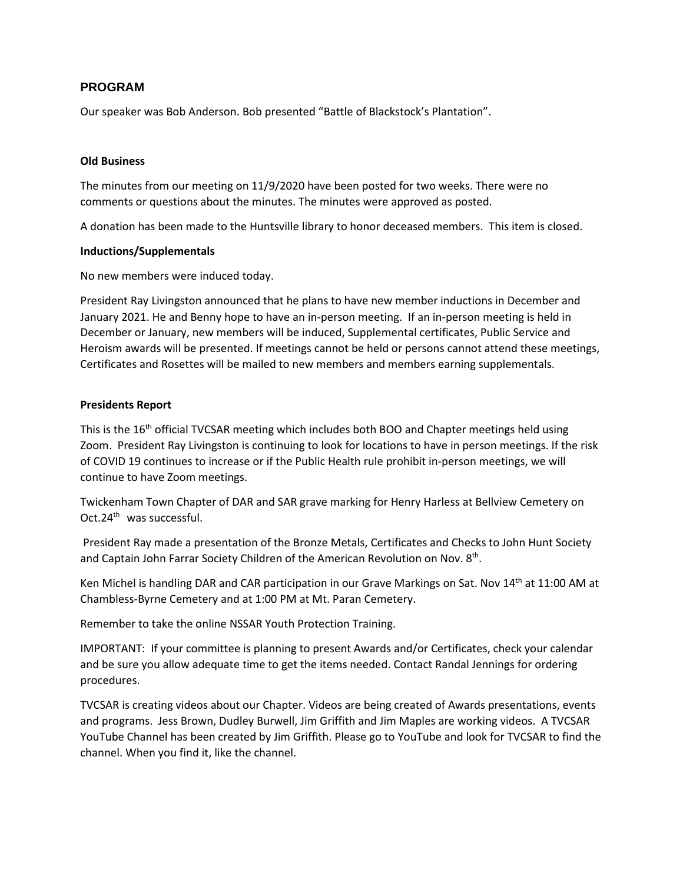# **PROGRAM**

Our speaker was Bob Anderson. Bob presented "Battle of Blackstock's Plantation".

#### **Old Business**

The minutes from our meeting on 11/9/2020 have been posted for two weeks. There were no comments or questions about the minutes. The minutes were approved as posted.

A donation has been made to the Huntsville library to honor deceased members. This item is closed.

#### **Inductions/Supplementals**

No new members were induced today.

President Ray Livingston announced that he plans to have new member inductions in December and January 2021. He and Benny hope to have an in-person meeting. If an in-person meeting is held in December or January, new members will be induced, Supplemental certificates, Public Service and Heroism awards will be presented. If meetings cannot be held or persons cannot attend these meetings, Certificates and Rosettes will be mailed to new members and members earning supplementals.

#### **Presidents Report**

This is the 16<sup>th</sup> official TVCSAR meeting which includes both BOO and Chapter meetings held using Zoom. President Ray Livingston is continuing to look for locations to have in person meetings. If the risk of COVID 19 continues to increase or if the Public Health rule prohibit in-person meetings, we will continue to have Zoom meetings.

Twickenham Town Chapter of DAR and SAR grave marking for Henry Harless at Bellview Cemetery on Oct.24<sup>th</sup> was successful.

President Ray made a presentation of the Bronze Metals, Certificates and Checks to John Hunt Society and Captain John Farrar Society Children of the American Revolution on Nov. 8<sup>th</sup>.

Ken Michel is handling DAR and CAR participation in our Grave Markings on Sat. Nov 14th at 11:00 AM at Chambless-Byrne Cemetery and at 1:00 PM at Mt. Paran Cemetery.

Remember to take the online NSSAR Youth Protection Training.

IMPORTANT: If your committee is planning to present Awards and/or Certificates, check your calendar and be sure you allow adequate time to get the items needed. Contact Randal Jennings for ordering procedures.

TVCSAR is creating videos about our Chapter. Videos are being created of Awards presentations, events and programs. Jess Brown, Dudley Burwell, Jim Griffith and Jim Maples are working videos. A TVCSAR YouTube Channel has been created by Jim Griffith. Please go to YouTube and look for TVCSAR to find the channel. When you find it, like the channel.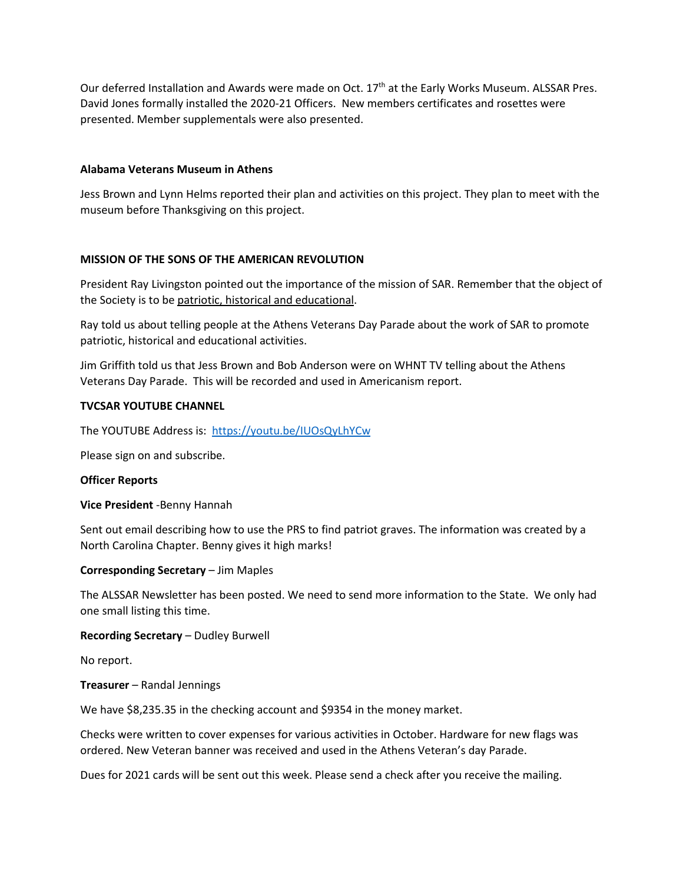Our deferred Installation and Awards were made on Oct. 17<sup>th</sup> at the Early Works Museum. ALSSAR Pres. David Jones formally installed the 2020-21 Officers. New members certificates and rosettes were presented. Member supplementals were also presented.

#### **Alabama Veterans Museum in Athens**

Jess Brown and Lynn Helms reported their plan and activities on this project. They plan to meet with the museum before Thanksgiving on this project.

#### **MISSION OF THE SONS OF THE AMERICAN REVOLUTION**

President Ray Livingston pointed out the importance of the mission of SAR. Remember that the object of the Society is to be patriotic, historical and educational.

Ray told us about telling people at the Athens Veterans Day Parade about the work of SAR to promote patriotic, historical and educational activities.

Jim Griffith told us that Jess Brown and Bob Anderson were on WHNT TV telling about the Athens Veterans Day Parade. This will be recorded and used in Americanism report.

#### **TVCSAR YOUTUBE CHANNEL**

The YOUTUBE Address is: [https://youtu.be/IUOsQyLhYCw](about:blank)

Please sign on and subscribe.

#### **Officer Reports**

**Vice President** -Benny Hannah

Sent out email describing how to use the PRS to find patriot graves. The information was created by a North Carolina Chapter. Benny gives it high marks!

#### **Corresponding Secretary** – Jim Maples

The ALSSAR Newsletter has been posted. We need to send more information to the State. We only had one small listing this time.

#### **Recording Secretary** – Dudley Burwell

No report.

**Treasurer** – Randal Jennings

We have \$8,235.35 in the checking account and \$9354 in the money market.

Checks were written to cover expenses for various activities in October. Hardware for new flags was ordered. New Veteran banner was received and used in the Athens Veteran's day Parade.

Dues for 2021 cards will be sent out this week. Please send a check after you receive the mailing.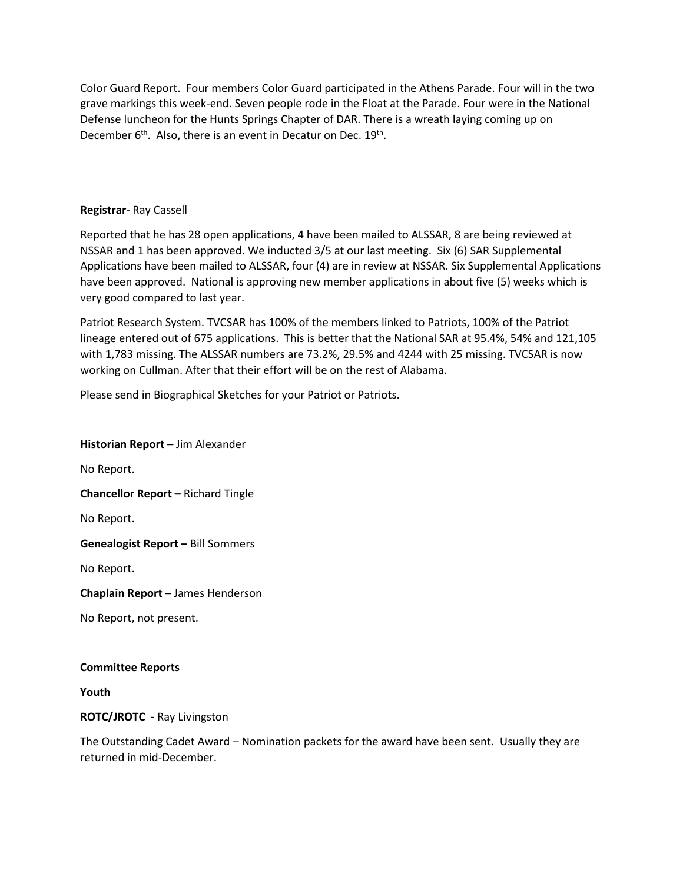Color Guard Report. Four members Color Guard participated in the Athens Parade. Four will in the two grave markings this week-end. Seven people rode in the Float at the Parade. Four were in the National Defense luncheon for the Hunts Springs Chapter of DAR. There is a wreath laying coming up on December 6<sup>th</sup>. Also, there is an event in Decatur on Dec. 19<sup>th</sup>.

## **Registrar**- Ray Cassell

Reported that he has 28 open applications, 4 have been mailed to ALSSAR, 8 are being reviewed at NSSAR and 1 has been approved. We inducted 3/5 at our last meeting. Six (6) SAR Supplemental Applications have been mailed to ALSSAR, four (4) are in review at NSSAR. Six Supplemental Applications have been approved. National is approving new member applications in about five (5) weeks which is very good compared to last year.

Patriot Research System. TVCSAR has 100% of the members linked to Patriots, 100% of the Patriot lineage entered out of 675 applications. This is better that the National SAR at 95.4%, 54% and 121,105 with 1,783 missing. The ALSSAR numbers are 73.2%, 29.5% and 4244 with 25 missing. TVCSAR is now working on Cullman. After that their effort will be on the rest of Alabama.

Please send in Biographical Sketches for your Patriot or Patriots.

**Historian Report –** Jim Alexander

No Report.

**Chancellor Report –** Richard Tingle

No Report.

**Genealogist Report –** Bill Sommers

No Report.

**Chaplain Report –** James Henderson

No Report, not present.

#### **Committee Reports**

**Youth**

**ROTC/JROTC -** Ray Livingston

The Outstanding Cadet Award – Nomination packets for the award have been sent. Usually they are returned in mid-December.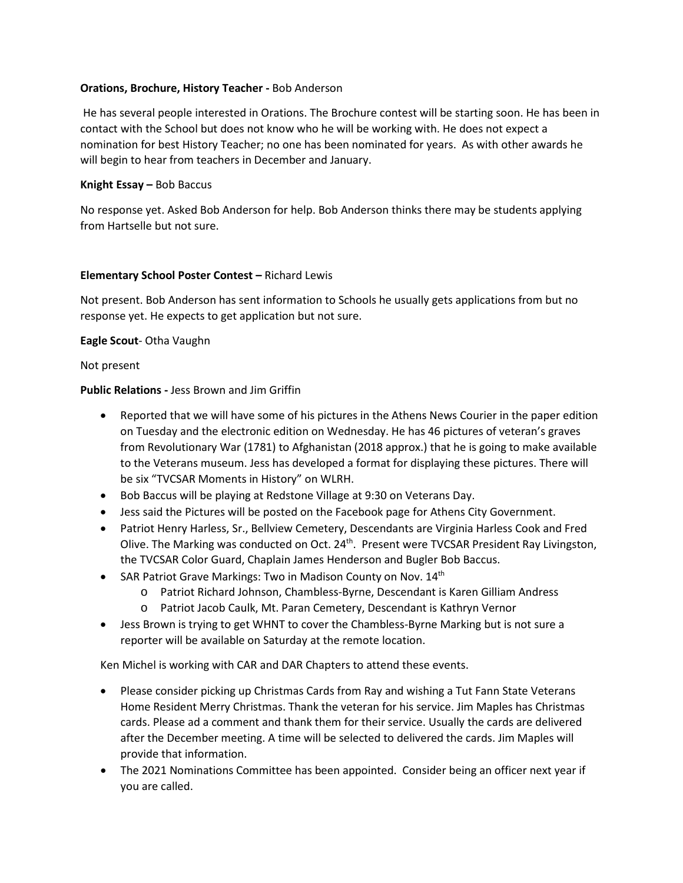## **Orations, Brochure, History Teacher -** Bob Anderson

He has several people interested in Orations. The Brochure contest will be starting soon. He has been in contact with the School but does not know who he will be working with. He does not expect a nomination for best History Teacher; no one has been nominated for years. As with other awards he will begin to hear from teachers in December and January.

## **Knight Essay –** Bob Baccus

No response yet. Asked Bob Anderson for help. Bob Anderson thinks there may be students applying from Hartselle but not sure.

# **Elementary School Poster Contest –** Richard Lewis

Not present. Bob Anderson has sent information to Schools he usually gets applications from but no response yet. He expects to get application but not sure.

# **Eagle Scout**- Otha Vaughn

Not present

# **Public Relations -** Jess Brown and Jim Griffin

- Reported that we will have some of his pictures in the Athens News Courier in the paper edition on Tuesday and the electronic edition on Wednesday. He has 46 pictures of veteran's graves from Revolutionary War (1781) to Afghanistan (2018 approx.) that he is going to make available to the Veterans museum. Jess has developed a format for displaying these pictures. There will be six "TVCSAR Moments in History" on WLRH.
- Bob Baccus will be playing at Redstone Village at 9:30 on Veterans Day.
- Jess said the Pictures will be posted on the Facebook page for Athens City Government.
- Patriot Henry Harless, Sr., Bellview Cemetery, Descendants are Virginia Harless Cook and Fred Olive. The Marking was conducted on Oct. 24<sup>th</sup>. Present were TVCSAR President Ray Livingston, the TVCSAR Color Guard, Chaplain James Henderson and Bugler Bob Baccus.
- SAR Patriot Grave Markings: Two in Madison County on Nov. 14<sup>th</sup>
	- o Patriot Richard Johnson, Chambless-Byrne, Descendant is Karen Gilliam Andress
	- o Patriot Jacob Caulk, Mt. Paran Cemetery, Descendant is Kathryn Vernor
- Jess Brown is trying to get WHNT to cover the Chambless-Byrne Marking but is not sure a reporter will be available on Saturday at the remote location.

Ken Michel is working with CAR and DAR Chapters to attend these events.

- Please consider picking up Christmas Cards from Ray and wishing a Tut Fann State Veterans Home Resident Merry Christmas. Thank the veteran for his service. Jim Maples has Christmas cards. Please ad a comment and thank them for their service. Usually the cards are delivered after the December meeting. A time will be selected to delivered the cards. Jim Maples will provide that information.
- The 2021 Nominations Committee has been appointed. Consider being an officer next year if you are called.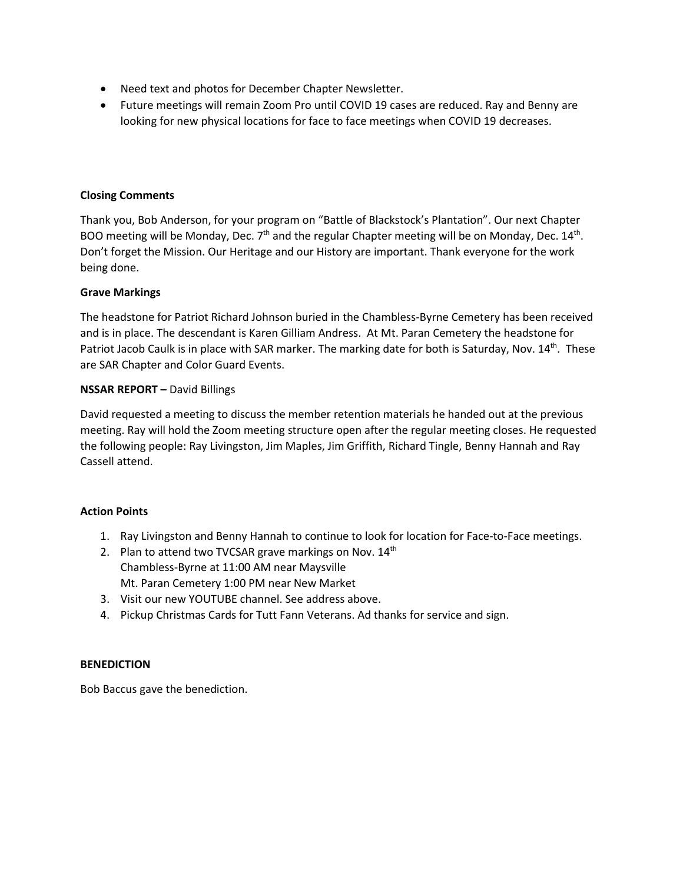- Need text and photos for December Chapter Newsletter.
- Future meetings will remain Zoom Pro until COVID 19 cases are reduced. Ray and Benny are looking for new physical locations for face to face meetings when COVID 19 decreases.

## **Closing Comments**

Thank you, Bob Anderson, for your program on "Battle of Blackstock's Plantation". Our next Chapter BOO meeting will be Monday, Dec. 7<sup>th</sup> and the regular Chapter meeting will be on Monday, Dec. 14<sup>th</sup>. Don't forget the Mission. Our Heritage and our History are important. Thank everyone for the work being done.

# **Grave Markings**

The headstone for Patriot Richard Johnson buried in the Chambless-Byrne Cemetery has been received and is in place. The descendant is Karen Gilliam Andress. At Mt. Paran Cemetery the headstone for Patriot Jacob Caulk is in place with SAR marker. The marking date for both is Saturday, Nov. 14<sup>th</sup>. These are SAR Chapter and Color Guard Events.

# **NSSAR REPORT –** David Billings

David requested a meeting to discuss the member retention materials he handed out at the previous meeting. Ray will hold the Zoom meeting structure open after the regular meeting closes. He requested the following people: Ray Livingston, Jim Maples, Jim Griffith, Richard Tingle, Benny Hannah and Ray Cassell attend.

## **Action Points**

- 1. Ray Livingston and Benny Hannah to continue to look for location for Face-to-Face meetings.
- 2. Plan to attend two TVCSAR grave markings on Nov. 14th Chambless-Byrne at 11:00 AM near Maysville Mt. Paran Cemetery 1:00 PM near New Market
- 3. Visit our new YOUTUBE channel. See address above.
- 4. Pickup Christmas Cards for Tutt Fann Veterans. Ad thanks for service and sign.

## **BENEDICTION**

Bob Baccus gave the benediction.